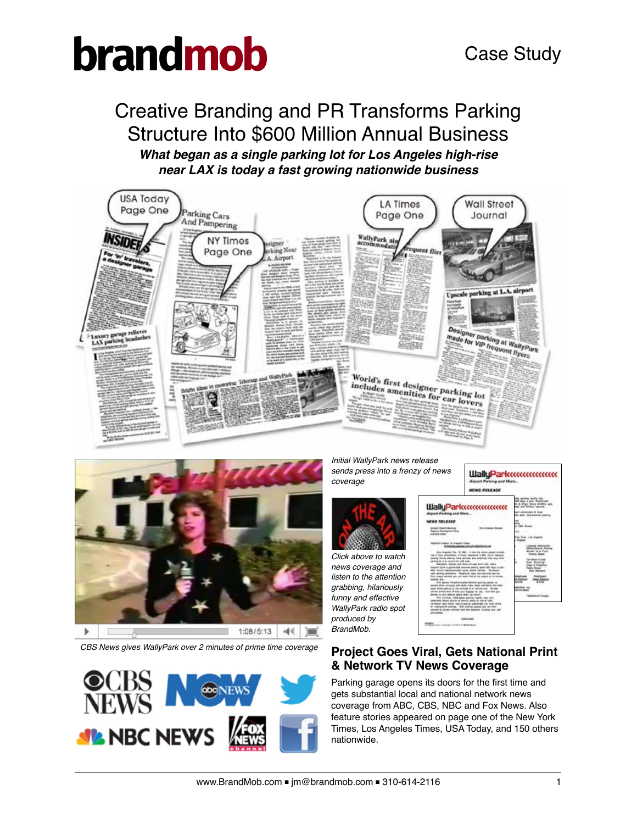### Creative Branding and PR Transforms Parking Structure Into \$600 Million Annual Business

*What began as a single parking lot for Los Angeles high-rise near LAX is today a fast growing nationwide business*





*CBS News gives WallyPark over 2 minutes of prime time coverage*



*Initial WallyPark news release sends press into a frenzy of news coverage*



*Click above to watch news coverage and listen to the attention grabbing, hilariously funny and effective WallyPark radio spot produced by BrandMob.*



### **Project Goes Viral, Gets National Print & Network TV News Coverage**

Parking garage opens its doors for the first time and gets substantial local and national network news coverage from ABC, CBS, NBC and Fox News. Also feature stories appeared on page one of the New York Times, Los Angeles Times, USA Today, and 150 others nationwide.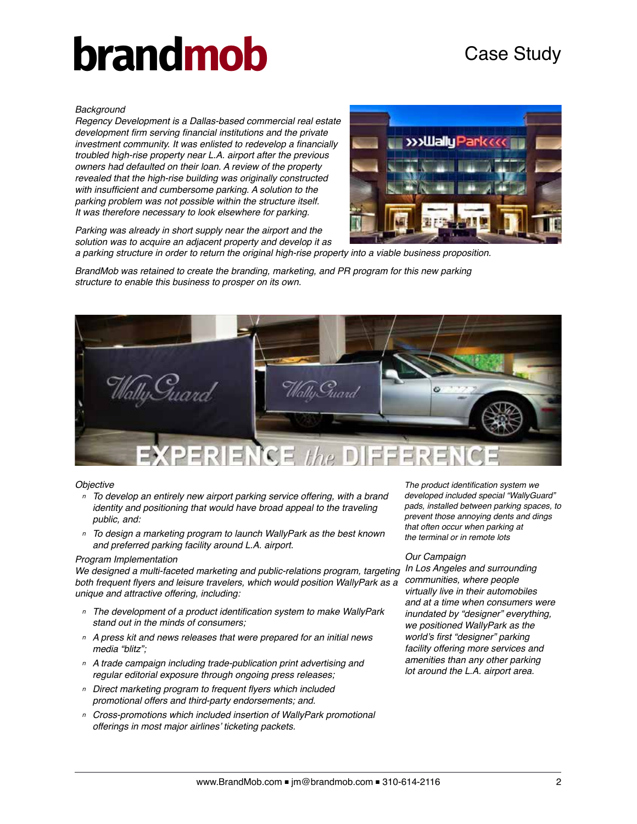### Case Study

#### *Background*

*Regency Development is a Dallas-based commercial real estate*  development firm serving financial institutions and the private investment community. It was enlisted to redevelop a financially *troubled high-rise property near L.A. airport after the previous owners had defaulted on their loan. A review of the property revealed that the high-rise building was originally constructed* with insufficient and cumbersome parking. A solution to the *parking problem was not possible within the structure itself. It was therefore necessary to look elsewhere for parking.*

*Parking was already in short supply near the airport and the solution was to acquire an adjacent property and develop it as*



*a parking structure in order to return the original high-rise property into a viable business proposition.*

*BrandMob was retained to create the branding, marketing, and PR program for this new parking structure to enable this business to prosper on its own.*



#### *Objective*

- *<sup>n</sup> To develop an entirely new airport parking service offering, with a brand identity and positioning that would have broad appeal to the traveling public, and:*
- *<sup>n</sup> To design a marketing program to launch WallyPark as the best known and preferred parking facility around L.A. airport.*

#### *Program Implementation*

We designed a multi-faceted marketing and public-relations program, targeting both frequent flyers and leisure travelers, which would position WallyPark as a *unique and attractive offering, including:*

- *<sup>n</sup>* The development of a product identification system to make WallyPark *stand out in the minds of consumers;*
- *<sup>n</sup> A press kit and news releases that were prepared for an initial news media "blitz";*
- *<sup>n</sup> A trade campaign including trade-publication print advertising and regular editorial exposure through ongoing press releases;*
- *<sup>n</sup>* Direct marketing program to frequent flyers which included *promotional offers and third-party endorsements; and.*
- *<sup>n</sup> Cross-promotions which included insertion of WallyPark promotional*  offerings in most major airlines' ticketing packets.

The product identification system we *developed included special "WallyGuard" pads, installed between parking spaces, to prevent those annoying dents and dings that often occur when parking at the terminal or in remote lots*

#### *Our Campaign*

*In Los Angeles and surrounding communities, where people virtually live in their automobiles and at a time when consumers were inundated by "designer" everything, we positioned WallyPark as the*  world's first "designer" parking *facility offering more services and amenities than any other parking lot around the L.A. airport area.*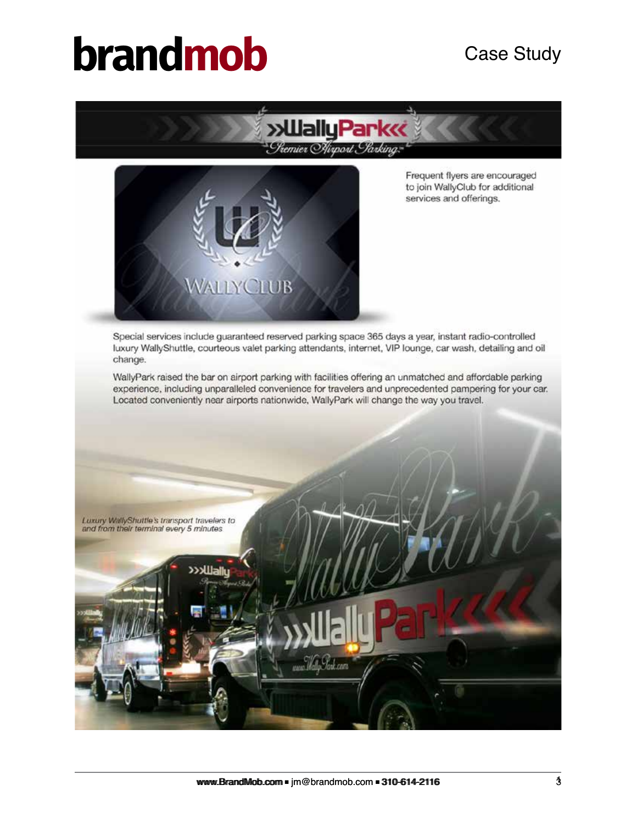



Frequent flyers are encouraged *to join WallyClub for additional services and offerings.*

*Special services include guaranteed reserved parking space 365 days a year, instant radio-controlled luxury WallyShuttle, courteous valet parking attendants, internet, VIP lounge, car wash, detailing and oil change*

WallyPark raised the bar on airport parking with facilities offering an unmatched and affordable parking *experience, including unparalleled convenience for travelers and unprecedented pampering for your car. Located conveniently near airports nationwide, WallyPark will change the way you travel.*